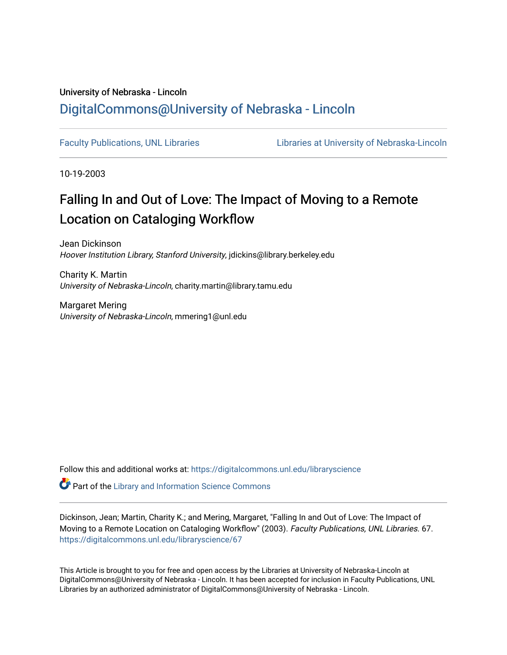# University of Nebraska - Lincoln [DigitalCommons@University of Nebraska - Lincoln](https://digitalcommons.unl.edu/)

[Faculty Publications, UNL Libraries](https://digitalcommons.unl.edu/libraryscience) Libraries Libraries at University of Nebraska-Lincoln

10-19-2003

# Falling In and Out of Love: The Impact of Moving to a Remote Location on Cataloging Workflow

Jean Dickinson Hoover Institution Library, Stanford University, jdickins@library.berkeley.edu

Charity K. Martin University of Nebraska-Lincoln, charity.martin@library.tamu.edu

Margaret Mering University of Nebraska-Lincoln, mmering1@unl.edu

Follow this and additional works at: [https://digitalcommons.unl.edu/libraryscience](https://digitalcommons.unl.edu/libraryscience?utm_source=digitalcommons.unl.edu%2Flibraryscience%2F67&utm_medium=PDF&utm_campaign=PDFCoverPages)

**P** Part of the Library and Information Science Commons

Dickinson, Jean; Martin, Charity K.; and Mering, Margaret, "Falling In and Out of Love: The Impact of Moving to a Remote Location on Cataloging Workflow" (2003). Faculty Publications, UNL Libraries. 67. [https://digitalcommons.unl.edu/libraryscience/67](https://digitalcommons.unl.edu/libraryscience/67?utm_source=digitalcommons.unl.edu%2Flibraryscience%2F67&utm_medium=PDF&utm_campaign=PDFCoverPages) 

This Article is brought to you for free and open access by the Libraries at University of Nebraska-Lincoln at DigitalCommons@University of Nebraska - Lincoln. It has been accepted for inclusion in Faculty Publications, UNL Libraries by an authorized administrator of DigitalCommons@University of Nebraska - Lincoln.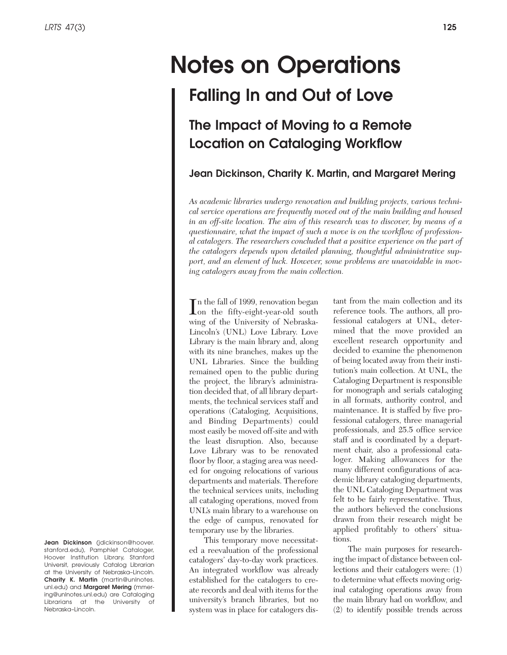# **Notes on Operations Falling In and Out of Love**

# **The Impact of Moving to a Remote Location on Cataloging Workflow**

# **Jean Dickinson, Charity K. Martin, and Margaret Mering**

*As academic libraries undergo renovation and building projects, various technical service operations are frequently moved out of the main building and housed in an off-site location. The aim of this research was to discover, by means of a questionnaire, what the impact of such a move is on the workflow of professional catalogers. The researchers concluded that a positive experience on the part of the catalogers depends upon detailed planning, thoughtful administrative support, and an element of luck. However, some problems are unavoidable in moving catalogers away from the main collection.*

In the fall of 1999, renovation began<br>
on the fifty-eight-year-old south<br>
reign of the University of Makersha on the fifty-eight-year-old south wing of the University of Nebraska-Lincoln's (UNL) Love Library. Love Library is the main library and, along with its nine branches, makes up the UNL Libraries. Since the building remained open to the public during the project, the library's administration decided that, of all library departments, the technical services staff and operations (Cataloging, Acquisitions, and Binding Departments) could most easily be moved off-site and with the least disruption. Also, because Love Library was to be renovated floor by floor, a staging area was needed for ongoing relocations of various departments and materials. Therefore the technical services units, including all cataloging operations, moved from UNL's main library to a warehouse on the edge of campus, renovated for temporary use by the libraries.

This temporary move necessitated a reevaluation of the professional catalogers' day-to-day work practices. An integrated workflow was already established for the catalogers to create records and deal with items for the university's branch libraries, but no system was in place for catalogers distant from the main collection and its reference tools. The authors, all professional catalogers at UNL, determined that the move provided an excellent research opportunity and decided to examine the phenomenon of being located away from their institution's main collection. At UNL, the Cataloging Department is responsible for monograph and serials cataloging in all formats, authority control, and maintenance. It is staffed by five professional catalogers, three managerial professionals, and 25.5 office service staff and is coordinated by a department chair, also a professional cataloger. Making allowances for the many different configurations of academic library cataloging departments, the UNL Cataloging Department was felt to be fairly representative. Thus, the authors believed the conclusions drawn from their research might be applied profitably to others' situations.

The main purposes for researching the impact of distance between collections and their catalogers were: (1) to determine what effects moving original cataloging operations away from the main library had on workflow, and (2) to identify possible trends across

**Jean Dickinson** (jdickinson@hoover. stanford.edu), Pamphlet Cataloger, Hoover Institution Library, Stanford Universit, previously Catalog Librarian at the University of Nebraska–Lincoln. **Charity K. Martin** (martin@unlnotes. unl.edu) and **Margaret Mering** (mmering@unlnotes.unl.edu) are Cataloging Librarians at the University of Nebraska–Lincoln.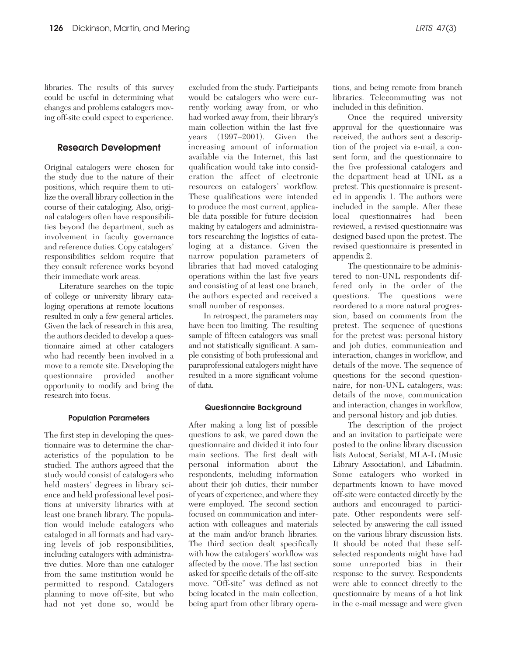libraries. The results of this survey could be useful in determining what changes and problems catalogers moving off-site could expect to experience.

#### **Research Development**

Original catalogers were chosen for the study due to the nature of their positions, which require them to utilize the overall library collection in the course of their cataloging. Also, original catalogers often have responsibilities beyond the department, such as involvement in faculty governance and reference duties. Copy catalogers' responsibilities seldom require that they consult reference works beyond their immediate work areas.

Literature searches on the topic of college or university library cataloging operations at remote locations resulted in only a few general articles. Given the lack of research in this area, the authors decided to develop a questionnaire aimed at other catalogers who had recently been involved in a move to a remote site. Developing the questionnaire provided another opportunity to modify and bring the research into focus.

#### **Population Parameters**

The first step in developing the questionnaire was to determine the characteristics of the population to be studied. The authors agreed that the study would consist of catalogers who held masters' degrees in library science and held professional level positions at university libraries with at least one branch library. The population would include catalogers who cataloged in all formats and had varying levels of job responsibilities, including catalogers with administrative duties. More than one cataloger from the same institution would be permitted to respond. Catalogers planning to move off-site, but who had not yet done so, would be

excluded from the study. Participants would be catalogers who were currently working away from, or who had worked away from, their library's main collection within the last five years (1997–2001). Given the increasing amount of information available via the Internet, this last qualification would take into consideration the affect of electronic resources on catalogers' workflow. These qualifications were intended to produce the most current, applicable data possible for future decision making by catalogers and administrators researching the logistics of cataloging at a distance. Given the narrow population parameters of libraries that had moved cataloging operations within the last five years and consisting of at least one branch, the authors expected and received a small number of responses.

In retrospect, the parameters may have been too limiting. The resulting sample of fifteen catalogers was small and not statistically significant. A sample consisting of both professional and paraprofessional catalogers might have resulted in a more significant volume of data.

#### **Questionnaire Background**

After making a long list of possible questions to ask, we pared down the questionnaire and divided it into four main sections. The first dealt with personal information about the respondents, including information about their job duties, their number of years of experience, and where they were employed. The second section focused on communication and interaction with colleagues and materials at the main and/or branch libraries. The third section dealt specifically with how the catalogers' workflow was affected by the move. The last section asked for specific details of the off-site move. "Off-site" was defined as not being located in the main collection, being apart from other library operations, and being remote from branch libraries. Telecommuting was not included in this definition.

Once the required university approval for the questionnaire was received, the authors sent a description of the project via e-mail, a consent form, and the questionnaire to the five professional catalogers and the department head at UNL as a pretest. This questionnaire is presented in appendix 1. The authors were included in the sample. After these local questionnaires had been reviewed, a revised questionnaire was designed based upon the pretest. The revised questionnaire is presented in appendix 2.

The questionnaire to be administered to non-UNL respondents differed only in the order of the questions. The questions were reordered to a more natural progression, based on comments from the pretest. The sequence of questions for the pretest was: personal history and job duties, communication and interaction, changes in workflow, and details of the move. The sequence of questions for the second questionnaire, for non-UNL catalogers, was: details of the move, communication and interaction, changes in workflow, and personal history and job duties.

The description of the project and an invitation to participate were posted to the online library discussion lists Autocat, Serialst, MLA-L (Music Library Association), and Libadmin. Some catalogers who worked in departments known to have moved off-site were contacted directly by the authors and encouraged to participate. Other respondents were selfselected by answering the call issued on the various library discussion lists. It should be noted that these selfselected respondents might have had some unreported bias in their response to the survey. Respondents were able to connect directly to the questionnaire by means of a hot link in the e-mail message and were given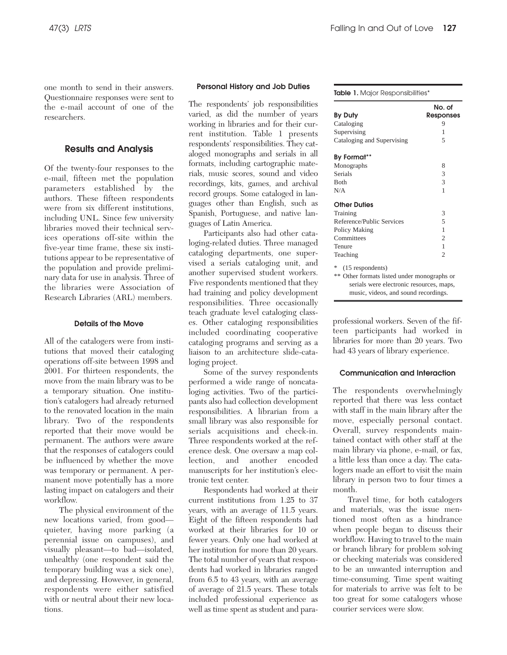one month to send in their answers. Questionnaire responses were sent to the e-mail account of one of the researchers.

### **Results and Analysis**

Of the twenty-four responses to the e-mail, fifteen met the population parameters established by the authors. These fifteen respondents were from six different institutions, including UNL. Since few university libraries moved their technical services operations off-site within the five-year time frame, these six institutions appear to be representative of the population and provide preliminary data for use in analysis. Three of the libraries were Association of Research Libraries (ARL) members.

#### **Details of the Move**

All of the catalogers were from institutions that moved their cataloging operations off-site between 1998 and 2001. For thirteen respondents, the move from the main library was to be a temporary situation. One institution's catalogers had already returned to the renovated location in the main library. Two of the respondents reported that their move would be permanent. The authors were aware that the responses of catalogers could be influenced by whether the move was temporary or permanent. A permanent move potentially has a more lasting impact on catalogers and their workflow.

The physical environment of the new locations varied, from good quieter, having more parking (a perennial issue on campuses), and visually pleasant—to bad—isolated, unhealthy (one respondent said the temporary building was a sick one), and depressing. However, in general, respondents were either satisfied with or neutral about their new locations.

#### **Personal History and Job Duties**

The respondents' job responsibilities varied, as did the number of years working in libraries and for their current institution. Table 1 presents respondents' responsibilities. They cataloged monographs and serials in all formats, including cartographic materials, music scores, sound and video recordings, kits, games, and archival record groups. Some cataloged in languages other than English, such as Spanish, Portuguese, and native languages of Latin America.

Participants also had other cataloging-related duties. Three managed cataloging departments, one supervised a serials cataloging unit, and another supervised student workers. Five respondents mentioned that they had training and policy development responsibilities. Three occasionally teach graduate level cataloging classes. Other cataloging responsibilities included coordinating cooperative cataloging programs and serving as a liaison to an architecture slide-cataloging project.

Some of the survey respondents performed a wide range of noncataloging activities. Two of the participants also had collection development responsibilities. A librarian from a small library was also responsible for serials acquisitions and check-in. Three respondents worked at the reference desk. One oversaw a map collection, and another encoded manuscripts for her institution's electronic text center.

Respondents had worked at their current institutions from 1.25 to 37 years, with an average of 11.5 years. Eight of the fifteen respondents had worked at their libraries for 10 or fewer years. Only one had worked at her institution for more than 20 years. The total number of years that respondents had worked in libraries ranged from 6.5 to 43 years, with an average of average of 21.5 years. These totals included professional experience as well as time spent as student and para-

|  |  | <b>Table 1.</b> Major Responsibilities* |
|--|--|-----------------------------------------|
|--|--|-----------------------------------------|

| <b>By Duty</b>                                                                                                                                           | No. of<br><b>Responses</b> |
|----------------------------------------------------------------------------------------------------------------------------------------------------------|----------------------------|
| Cataloging                                                                                                                                               | 9                          |
| Supervising                                                                                                                                              | 1                          |
| Cataloging and Supervising                                                                                                                               | 5                          |
| By Format**                                                                                                                                              |                            |
| Monographs                                                                                                                                               | 8                          |
| <b>Serials</b>                                                                                                                                           | 3                          |
| <b>B</b> oth                                                                                                                                             | 3                          |
| N/A                                                                                                                                                      | 1                          |
| <b>Other Duties</b>                                                                                                                                      |                            |
| Training                                                                                                                                                 | 3                          |
| Reference/Public Services                                                                                                                                | 5                          |
| Policy Making                                                                                                                                            | 1                          |
| Committees                                                                                                                                               | $\overline{c}$             |
| Tenure                                                                                                                                                   | $\mathbf{1}$               |
| Teaching                                                                                                                                                 | $\mathfrak{D}$             |
| *<br>(15 respondents)<br>** Other formats listed under monographs or<br>serials were electronic resources, maps,<br>music, videos, and sound recordings. |                            |

professional workers. Seven of the fifteen participants had worked in libraries for more than 20 years. Two had 43 years of library experience.

#### **Communication and Interaction**

The respondents overwhelmingly reported that there was less contact with staff in the main library after the move, especially personal contact. Overall, survey respondents maintained contact with other staff at the main library via phone, e-mail, or fax, a little less than once a day. The catalogers made an effort to visit the main library in person two to four times a month.

Travel time, for both catalogers and materials, was the issue mentioned most often as a hindrance when people began to discuss their workflow. Having to travel to the main or branch library for problem solving or checking materials was considered to be an unwanted interruption and time-consuming. Time spent waiting for materials to arrive was felt to be too great for some catalogers whose courier services were slow.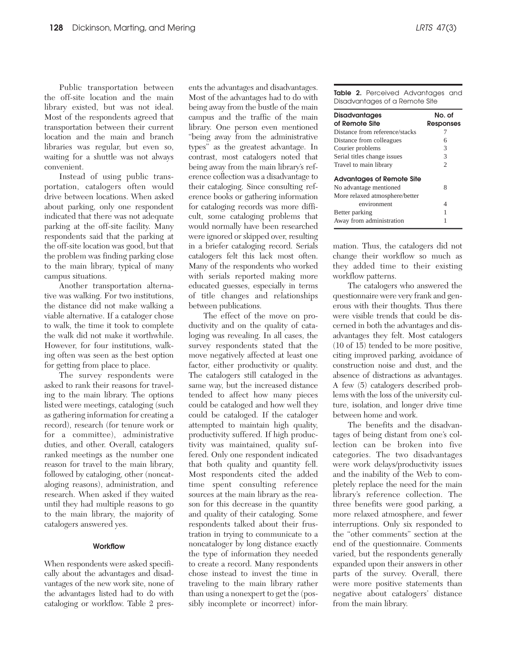Public transportation between the off-site location and the main library existed, but was not ideal. Most of the respondents agreed that transportation between their current location and the main and branch libraries was regular, but even so, waiting for a shuttle was not always convenient.

Instead of using public transportation, catalogers often would drive between locations. When asked about parking, only one respondent indicated that there was not adequate parking at the off-site facility. Many respondents said that the parking at the off-site location was good, but that the problem was finding parking close to the main library, typical of many campus situations.

Another transportation alternative was walking. For two institutions, the distance did not make walking a viable alternative. If a cataloger chose to walk, the time it took to complete the walk did not make it worthwhile. However, for four institutions, walking often was seen as the best option for getting from place to place.

The survey respondents were asked to rank their reasons for traveling to the main library. The options listed were meetings, cataloging (such as gathering information for creating a record), research (for tenure work or for a committee), administrative duties, and other. Overall, catalogers ranked meetings as the number one reason for travel to the main library, followed by cataloging, other (noncataloging reasons), administration, and research. When asked if they waited until they had multiple reasons to go to the main library, the majority of catalogers answered yes.

#### **Workflow**

When respondents were asked specifically about the advantages and disadvantages of the new work site, none of the advantages listed had to do with cataloging or workflow. Table 2 pres-

ents the advantages and disadvantages. Most of the advantages had to do with being away from the bustle of the main campus and the traffic of the main library. One person even mentioned "being away from the administrative types" as the greatest advantage. In contrast, most catalogers noted that being away from the main library's reference collection was a disadvantage to their cataloging. Since consulting reference books or gathering information for cataloging records was more difficult, some cataloging problems that would normally have been researched were ignored or skipped over, resulting in a briefer cataloging record. Serials catalogers felt this lack most often. Many of the respondents who worked with serials reported making more educated guesses, especially in terms of title changes and relationships between publications.

The effect of the move on productivity and on the quality of cataloging was revealing. In all cases, the survey respondents stated that the move negatively affected at least one factor, either productivity or quality. The catalogers still cataloged in the same way, but the increased distance tended to affect how many pieces could be cataloged and how well they could be cataloged. If the cataloger attempted to maintain high quality, productivity suffered. If high productivity was maintained, quality suffered. Only one respondent indicated that both quality and quantity fell. Most respondents cited the added time spent consulting reference sources at the main library as the reason for this decrease in the quantity and quality of their cataloging. Some respondents talked about their frustration in trying to communicate to a noncataloger by long distance exactly the type of information they needed to create a record. Many respondents chose instead to invest the time in traveling to the main library rather than using a nonexpert to get the (possibly incomplete or incorrect) infor-

**Table 2.** Perceived Advantages and Disadvantages of a Remote Site

| <b>Disadvantages</b><br>of Remote Site | No. of<br><b>Responses</b> |
|----------------------------------------|----------------------------|
| Distance from reference/stacks         |                            |
| Distance from colleagues               | 6                          |
| Courier problems                       | 3                          |
| Serial titles change issues            | 3                          |
| Travel to main library                 | $\mathfrak{D}$             |
| <b>Advantages of Remote Site</b>       |                            |
| No advantage mentioned                 | 8                          |
| More relaxed atmosphere/better         |                            |
| environment                            | 4                          |
| Better parking                         |                            |
| Away from administration               |                            |

mation. Thus, the catalogers did not change their workflow so much as they added time to their existing workflow patterns.

The catalogers who answered the questionnaire were very frank and generous with their thoughts. Thus there were visible trends that could be discerned in both the advantages and disadvantages they felt. Most catalogers (10 of 15) tended to be more positive, citing improved parking, avoidance of construction noise and dust, and the absence of distractions as advantages. A few (5) catalogers described problems with the loss of the university culture, isolation, and longer drive time between home and work.

The benefits and the disadvantages of being distant from one's collection can be broken into five categories. The two disadvantages were work delays/productivity issues and the inability of the Web to completely replace the need for the main library's reference collection. The three benefits were good parking, a more relaxed atmosphere, and fewer interruptions. Only six responded to the "other comments" section at the end of the questionnaire. Comments varied, but the respondents generally expanded upon their answers in other parts of the survey. Overall, there were more positive statements than negative about catalogers' distance from the main library.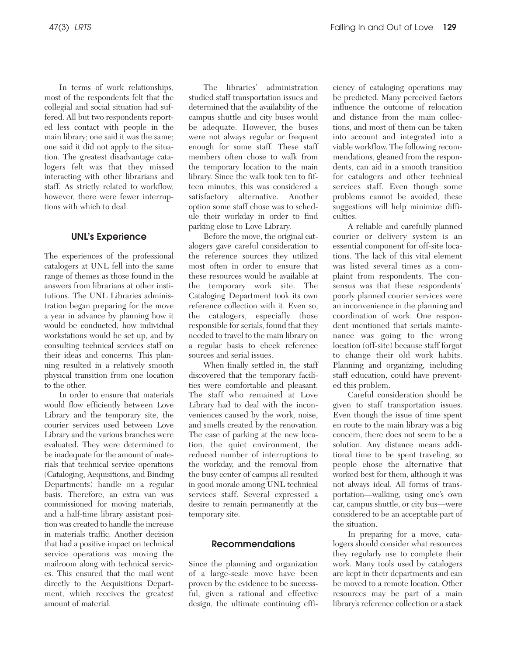In terms of work relationships, most of the respondents felt that the collegial and social situation had suffered. All but two respondents reported less contact with people in the main library; one said it was the same; one said it did not apply to the situation. The greatest disadvantage catalogers felt was that they missed interacting with other librarians and staff. As strictly related to workflow, however, there were fewer interruptions with which to deal.

## **UNL's Experience**

The experiences of the professional catalogers at UNL fell into the same range of themes as those found in the answers from librarians at other institutions. The UNL Libraries administration began preparing for the move a year in advance by planning how it would be conducted, how individual workstations would be set up, and by consulting technical services staff on their ideas and concerns. This planning resulted in a relatively smooth physical transition from one location to the other.

In order to ensure that materials would flow efficiently between Love Library and the temporary site, the courier services used between Love Library and the various branches were evaluated. They were determined to be inadequate for the amount of materials that technical service operations (Cataloging, Acquisitions, and Binding Departments) handle on a regular basis. Therefore, an extra van was commissioned for moving materials, and a half-time library assistant position was created to handle the increase in materials traffic. Another decision that had a positive impact on technical service operations was moving the mailroom along with technical services. This ensured that the mail went directly to the Acquisitions Department, which receives the greatest amount of material.

The libraries' administration studied staff transportation issues and determined that the availability of the campus shuttle and city buses would be adequate. However, the buses were not always regular or frequent enough for some staff. These staff members often chose to walk from the temporary location to the main library. Since the walk took ten to fifteen minutes, this was considered a satisfactory alternative. Another option some staff chose was to schedule their workday in order to find parking close to Love Library.

Before the move, the original catalogers gave careful consideration to the reference sources they utilized most often in order to ensure that these resources would be available at the temporary work site. The Cataloging Department took its own reference collection with it. Even so, the catalogers, especially those responsible for serials, found that they needed to travel to the main library on a regular basis to check reference sources and serial issues.

When finally settled in, the staff discovered that the temporary facilities were comfortable and pleasant. The staff who remained at Love Library had to deal with the inconveniences caused by the work, noise, and smells created by the renovation. The ease of parking at the new location, the quiet environment, the reduced number of interruptions to the workday, and the removal from the busy center of campus all resulted in good morale among UNL technical services staff. Several expressed a desire to remain permanently at the temporary site.

## **Recommendations**

Since the planning and organization of a large-scale move have been proven by the evidence to be successful, given a rational and effective design, the ultimate continuing efficiency of cataloging operations may be predicted. Many perceived factors influence the outcome of relocation and distance from the main collections, and most of them can be taken into account and integrated into a viable workflow. The following recommendations, gleaned from the respondents, can aid in a smooth transition for catalogers and other technical services staff. Even though some problems cannot be avoided, these suggestions will help minimize difficulties.

A reliable and carefully planned courier or delivery system is an essential component for off-site locations. The lack of this vital element was listed several times as a complaint from respondents. The consensus was that these respondents' poorly planned courier services were an inconvenience in the planning and coordination of work. One respondent mentioned that serials maintenance was going to the wrong location (off-site) because staff forgot to change their old work habits. Planning and organizing, including staff education, could have prevented this problem.

Careful consideration should be given to staff transportation issues. Even though the issue of time spent en route to the main library was a big concern, there does not seem to be a solution. Any distance means additional time to be spent traveling, so people chose the alternative that worked best for them, although it was not always ideal. All forms of transportation—walking, using one's own car, campus shuttle, or city bus—were considered to be an acceptable part of the situation.

In preparing for a move, catalogers should consider what resources they regularly use to complete their work. Many tools used by catalogers are kept in their departments and can be moved to a remote location. Other resources may be part of a main library's reference collection or a stack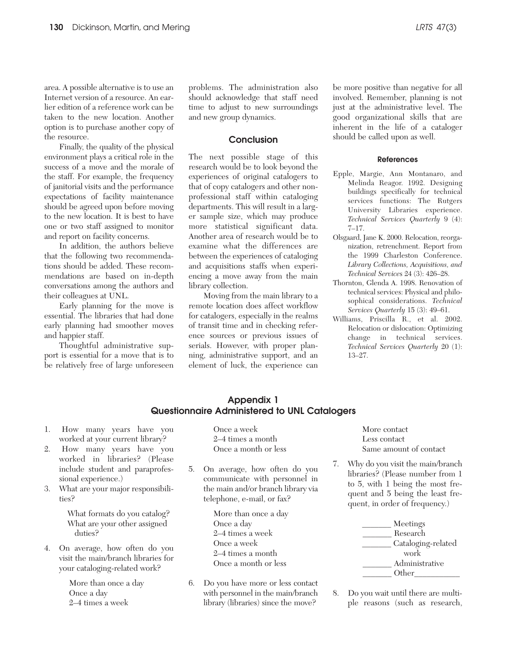area. A possible alternative is to use an Internet version of a resource. An earlier edition of a reference work can be taken to the new location. Another option is to purchase another copy of the resource.

Finally, the quality of the physical environment plays a critical role in the success of a move and the morale of the staff. For example, the frequency of janitorial visits and the performance expectations of facility maintenance should be agreed upon before moving to the new location. It is best to have one or two staff assigned to monitor and report on facility concerns.

In addition, the authors believe that the following two recommendations should be added. These recommendations are based on in-depth conversations among the authors and their colleagues at UNL.

Early planning for the move is essential. The libraries that had done early planning had smoother moves and happier staff.

Thoughtful administrative support is essential for a move that is to be relatively free of large unforeseen

problems. The administration also should acknowledge that staff need time to adjust to new surroundings and new group dynamics.

#### **Conclusion**

The next possible stage of this research would be to look beyond the experiences of original catalogers to that of copy catalogers and other nonprofessional staff within cataloging departments. This will result in a larger sample size, which may produce more statistical significant data. Another area of research would be to examine what the differences are between the experiences of cataloging and acquisitions staffs when experiencing a move away from the main library collection.

Moving from the main library to a remote location does affect workflow for catalogers, especially in the realms of transit time and in checking reference sources or previous issues of serials. However, with proper planning, administrative support, and an element of luck, the experience can be more positive than negative for all involved. Remember, planning is not just at the administrative level. The good organizational skills that are inherent in the life of a cataloger should be called upon as well.

#### **References**

- Epple, Margie, Ann Montanaro, and Melinda Reagor. 1992. Designing buildings specifically for technical services functions: The Rutgers University Libraries experience. *Technical Services Quarterly* 9 (4): 7–17.
- Olsgaard, Jane K. 2000. Relocation, reorganization, retrenchment. Report from the 1999 Charleston Conference. *Library Collections, Acquisitions, and Technical Service*s 24 (3): 426–28.
- Thornton, Glenda A. 1998. Renovation of technical services: Physical and philosophical considerations. *Technical Services Quarterly* 15 (3): 49–61.
- Williams, Priscilla R., et al. 2002. Relocation or dislocation: Optimizing change in technical services. *Technical Services Quarterly* 20 (1): 13–27.

## **Appendix 1 Questionnaire Administered to UNL Catalogers**

- 1. How many years have you worked at your current library?
- 2. How many years have you worked in libraries? (Please include student and paraprofessional experience.)
- 3. What are your major responsibilities?

What formats do you catalog? What are your other assigned duties?

4. On average, how often do you visit the main/branch libraries for your cataloging-related work?

> More than once a day Once a day 2–4 times a week

Once a week 2–4 times a month Once a month or less

5. On average, how often do you communicate with personnel in the main and/or branch library via telephone, e-mail, or fax?

> More than once a day Once a day 2–4 times a week Once a week 2–4 times a month Once a month or less

6. Do you have more or less contact with personnel in the main/branch library (libraries) since the move?

More contact Less contact Same amount of contact

7. Why do you visit the main/branch libraries? (Please number from 1 to 5, with 1 being the most frequent and 5 being the least frequent, in order of frequency.)



8. Do you wait until there are multiple reasons (such as research,